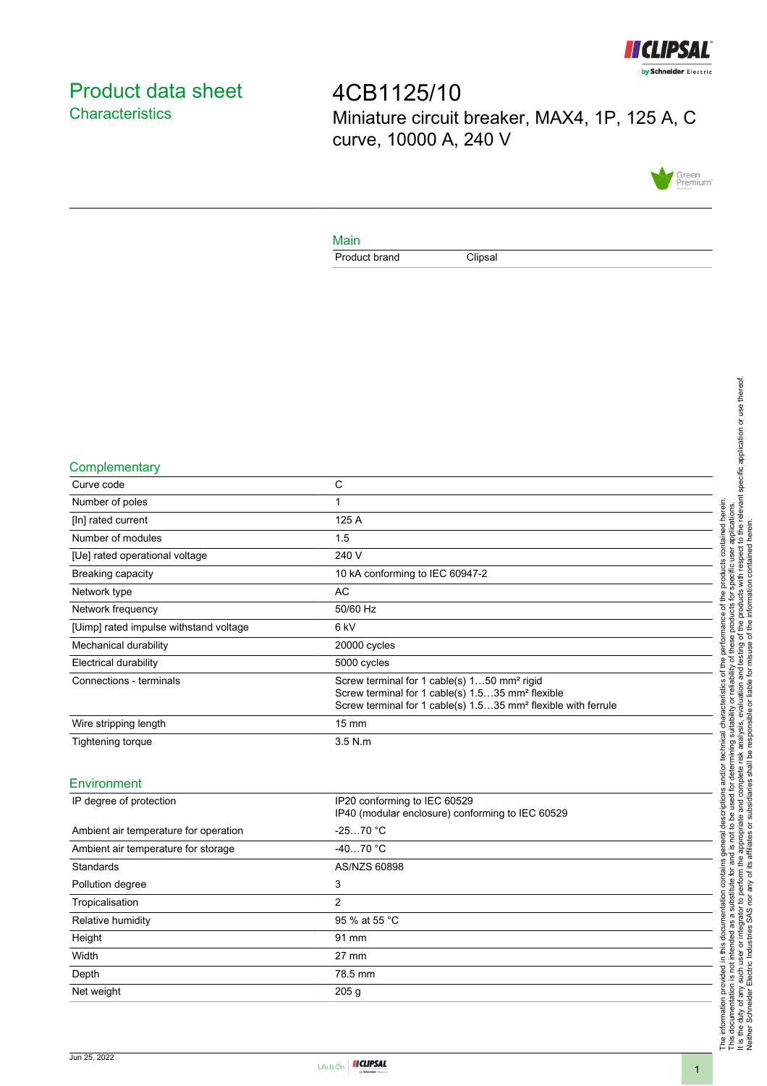

# <span id="page-0-0"></span>Product data sheet **Characteristics**

4CB1125/10 Miniature circuit breaker, MAX4, 1P, 125 A, C curve, 10000 A, 240 V



### Main

Product brand Clipsal

### **Complementary**

| Curve code                             | C                                                                                                                                                                                                    |
|----------------------------------------|------------------------------------------------------------------------------------------------------------------------------------------------------------------------------------------------------|
| Number of poles                        |                                                                                                                                                                                                      |
| [In] rated current                     | 125 A                                                                                                                                                                                                |
| Number of modules                      | 1.5                                                                                                                                                                                                  |
| [Ue] rated operational voltage         | 240 V                                                                                                                                                                                                |
| Breaking capacity                      | 10 kA conforming to IEC 60947-2                                                                                                                                                                      |
| Network type                           | AC                                                                                                                                                                                                   |
| Network frequency                      | 50/60 Hz                                                                                                                                                                                             |
| [Uimp] rated impulse withstand voltage | 6 kV                                                                                                                                                                                                 |
| Mechanical durability                  | 20000 cycles                                                                                                                                                                                         |
| <b>Electrical durability</b>           | 5000 cycles                                                                                                                                                                                          |
| Connections - terminals                | Screw terminal for 1 cable(s) 150 mm <sup>2</sup> rigid<br>Screw terminal for 1 cable(s) 1.535 mm <sup>2</sup> flexible<br>Screw terminal for 1 cable(s) 1.535 mm <sup>2</sup> flexible with ferrule |
| Wire stripping length                  | $15 \text{ mm}$                                                                                                                                                                                      |
| Tightening torque                      | $3.5$ N.m                                                                                                                                                                                            |
|                                        |                                                                                                                                                                                                      |

### Environment

| IP20 conforming to IEC 60529<br>IP40 (modular enclosure) conforming to IEC 60529 |
|----------------------------------------------------------------------------------|
| $-2570 °C$                                                                       |
| $-4070 °C$                                                                       |
| AS/NZS 60898                                                                     |
| 3                                                                                |
| 2                                                                                |
| 95 % at 55 °C                                                                    |
| 91 mm                                                                            |
| $27 \text{ mm}$                                                                  |
| 78.5 mm                                                                          |
| 205 <sub>g</sub>                                                                 |
|                                                                                  |